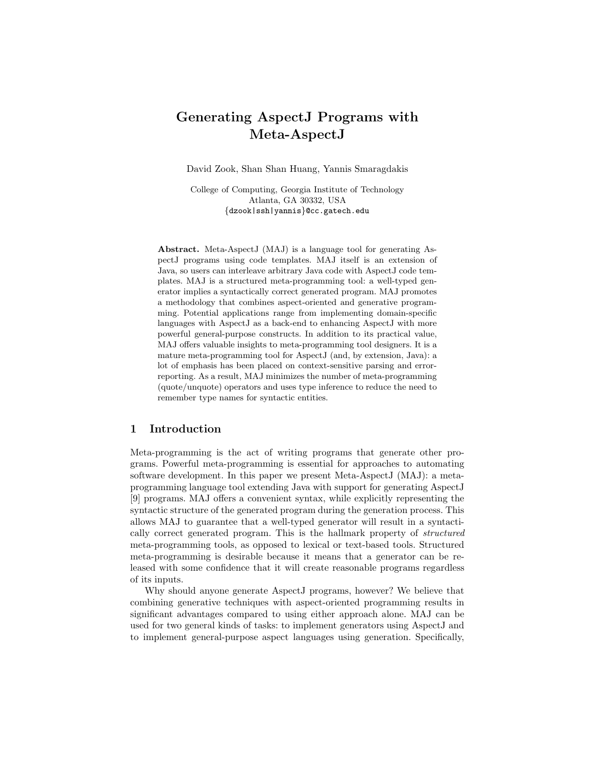# Generating AspectJ Programs with Meta-AspectJ

David Zook, Shan Shan Huang, Yannis Smaragdakis

College of Computing, Georgia Institute of Technology Atlanta, GA 30332, USA {dzook|ssh|yannis}@cc.gatech.edu

Abstract. Meta-AspectJ (MAJ) is a language tool for generating AspectJ programs using code templates. MAJ itself is an extension of Java, so users can interleave arbitrary Java code with AspectJ code templates. MAJ is a structured meta-programming tool: a well-typed generator implies a syntactically correct generated program. MAJ promotes a methodology that combines aspect-oriented and generative programming. Potential applications range from implementing domain-specific languages with AspectJ as a back-end to enhancing AspectJ with more powerful general-purpose constructs. In addition to its practical value, MAJ offers valuable insights to meta-programming tool designers. It is a mature meta-programming tool for AspectJ (and, by extension, Java): a lot of emphasis has been placed on context-sensitive parsing and errorreporting. As a result, MAJ minimizes the number of meta-programming (quote/unquote) operators and uses type inference to reduce the need to remember type names for syntactic entities.

# 1 Introduction

Meta-programming is the act of writing programs that generate other programs. Powerful meta-programming is essential for approaches to automating software development. In this paper we present Meta-AspectJ (MAJ): a metaprogramming language tool extending Java with support for generating AspectJ [9] programs. MAJ offers a convenient syntax, while explicitly representing the syntactic structure of the generated program during the generation process. This allows MAJ to guarantee that a well-typed generator will result in a syntactically correct generated program. This is the hallmark property of structured meta-programming tools, as opposed to lexical or text-based tools. Structured meta-programming is desirable because it means that a generator can be released with some confidence that it will create reasonable programs regardless of its inputs.

Why should anyone generate AspectJ programs, however? We believe that combining generative techniques with aspect-oriented programming results in significant advantages compared to using either approach alone. MAJ can be used for two general kinds of tasks: to implement generators using AspectJ and to implement general-purpose aspect languages using generation. Specifically,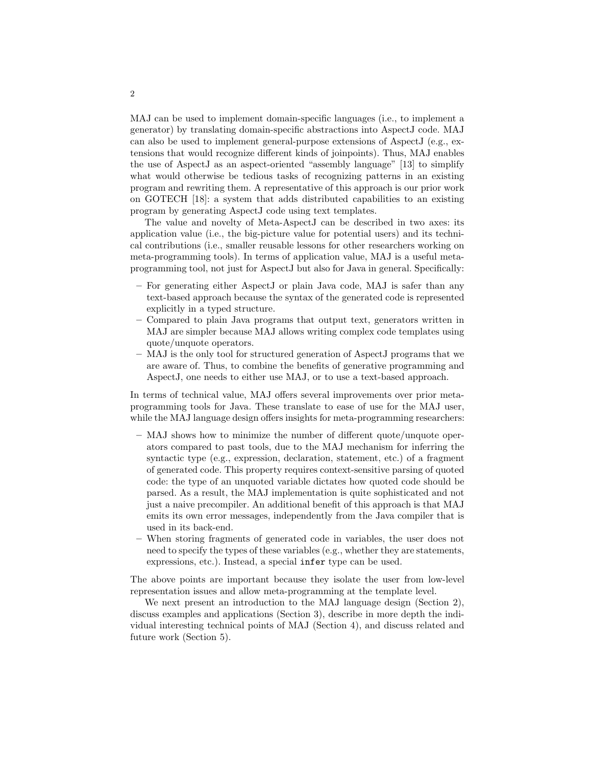MAJ can be used to implement domain-specific languages (i.e., to implement a generator) by translating domain-specific abstractions into AspectJ code. MAJ can also be used to implement general-purpose extensions of AspectJ (e.g., extensions that would recognize different kinds of joinpoints). Thus, MAJ enables the use of AspectJ as an aspect-oriented "assembly language" [13] to simplify what would otherwise be tedious tasks of recognizing patterns in an existing program and rewriting them. A representative of this approach is our prior work on GOTECH [18]: a system that adds distributed capabilities to an existing program by generating AspectJ code using text templates.

The value and novelty of Meta-AspectJ can be described in two axes: its application value (i.e., the big-picture value for potential users) and its technical contributions (i.e., smaller reusable lessons for other researchers working on meta-programming tools). In terms of application value, MAJ is a useful metaprogramming tool, not just for AspectJ but also for Java in general. Specifically:

- For generating either AspectJ or plain Java code, MAJ is safer than any text-based approach because the syntax of the generated code is represented explicitly in a typed structure.
- Compared to plain Java programs that output text, generators written in MAJ are simpler because MAJ allows writing complex code templates using quote/unquote operators.
- MAJ is the only tool for structured generation of AspectJ programs that we are aware of. Thus, to combine the benefits of generative programming and AspectJ, one needs to either use MAJ, or to use a text-based approach.

In terms of technical value, MAJ offers several improvements over prior metaprogramming tools for Java. These translate to ease of use for the MAJ user, while the MAJ language design offers insights for meta-programming researchers:

- MAJ shows how to minimize the number of different quote/unquote operators compared to past tools, due to the MAJ mechanism for inferring the syntactic type (e.g., expression, declaration, statement, etc.) of a fragment of generated code. This property requires context-sensitive parsing of quoted code: the type of an unquoted variable dictates how quoted code should be parsed. As a result, the MAJ implementation is quite sophisticated and not just a naive precompiler. An additional benefit of this approach is that MAJ emits its own error messages, independently from the Java compiler that is used in its back-end.
- When storing fragments of generated code in variables, the user does not need to specify the types of these variables (e.g., whether they are statements, expressions, etc.). Instead, a special infer type can be used.

The above points are important because they isolate the user from low-level representation issues and allow meta-programming at the template level.

We next present an introduction to the MAJ language design (Section 2), discuss examples and applications (Section 3), describe in more depth the individual interesting technical points of MAJ (Section 4), and discuss related and future work (Section 5).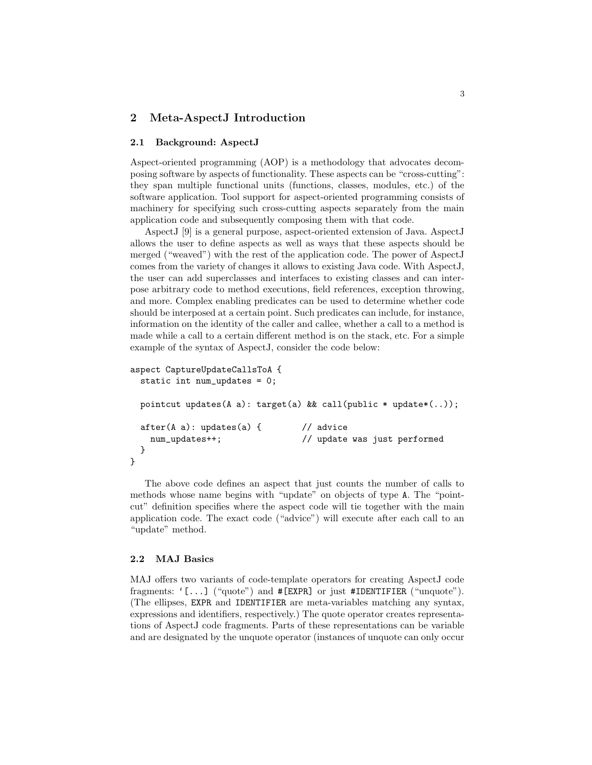# 2 Meta-AspectJ Introduction

### 2.1 Background: AspectJ

Aspect-oriented programming (AOP) is a methodology that advocates decomposing software by aspects of functionality. These aspects can be "cross-cutting": they span multiple functional units (functions, classes, modules, etc.) of the software application. Tool support for aspect-oriented programming consists of machinery for specifying such cross-cutting aspects separately from the main application code and subsequently composing them with that code.

AspectJ [9] is a general purpose, aspect-oriented extension of Java. AspectJ allows the user to define aspects as well as ways that these aspects should be merged ("weaved") with the rest of the application code. The power of AspectJ comes from the variety of changes it allows to existing Java code. With AspectJ, the user can add superclasses and interfaces to existing classes and can interpose arbitrary code to method executions, field references, exception throwing, and more. Complex enabling predicates can be used to determine whether code should be interposed at a certain point. Such predicates can include, for instance, information on the identity of the caller and callee, whether a call to a method is made while a call to a certain different method is on the stack, etc. For a simple example of the syntax of AspectJ, consider the code below:

```
aspect CaptureUpdateCallsToA {
 static int num_updates = 0;
 pointcut updates(A a): target(a) && call(public * update*(..));
 after(A a): updates(a) { // advice
```
num\_updates++;  $\frac{1}{2}$  // update was just performed } } The above code defines an aspect that just counts the number of calls to

methods whose name begins with "update" on objects of type A. The "pointcut" definition specifies where the aspect code will tie together with the main application code. The exact code ("advice") will execute after each call to an "update" method.

### 2.2 MAJ Basics

MAJ offers two variants of code-template operators for creating AspectJ code fragments:  $(\ldots)$  ("quote") and  $\#[EXPR]$  or just  $\#IDENTIFIER$  ("unquote"). (The ellipses, EXPR and IDENTIFIER are meta-variables matching any syntax, expressions and identifiers, respectively.) The quote operator creates representations of AspectJ code fragments. Parts of these representations can be variable and are designated by the unquote operator (instances of unquote can only occur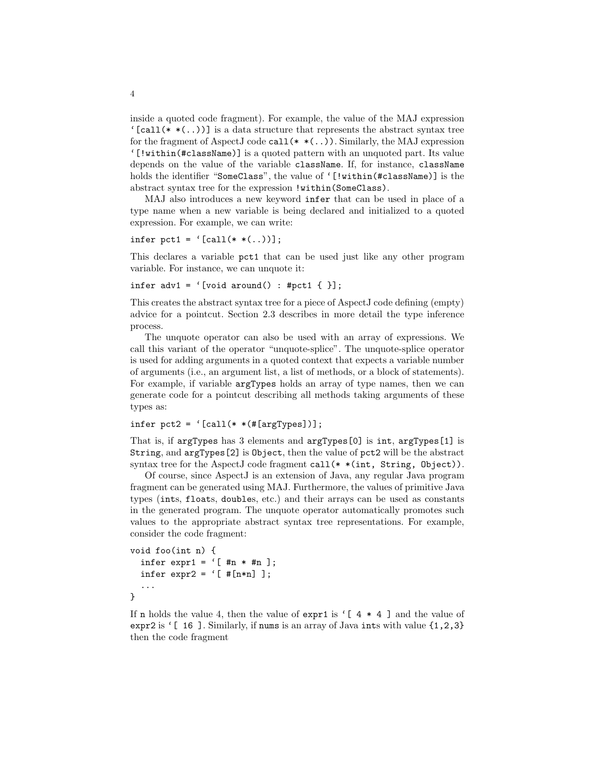inside a quoted code fragment). For example, the value of the MAJ expression  $\lceil \text{call}(**(...) ) \rceil$  is a data structure that represents the abstract syntax tree for the fragment of AspectJ code call  $(**(\ldots))$ . Similarly, the MAJ expression '[!within(#className)] is a quoted pattern with an unquoted part. Its value depends on the value of the variable className. If, for instance, className holds the identifier "SomeClass", the value of '[!within(#className)] is the abstract syntax tree for the expression !within(SomeClass).

MAJ also introduces a new keyword infer that can be used in place of a type name when a new variable is being declared and initialized to a quoted expression. For example, we can write:

```
infer pct1 = '[call(* *(..))];
```
This declares a variable pct1 that can be used just like any other program variable. For instance, we can unquote it:

```
infer adv1 = '[void around() : #pct1 { }];
```
This creates the abstract syntax tree for a piece of AspectJ code defining (empty) advice for a pointcut. Section 2.3 describes in more detail the type inference process.

The unquote operator can also be used with an array of expressions. We call this variant of the operator "unquote-splice". The unquote-splice operator is used for adding arguments in a quoted context that expects a variable number of arguments (i.e., an argument list, a list of methods, or a block of statements). For example, if variable argTypes holds an array of type names, then we can generate code for a pointcut describing all methods taking arguments of these types as:

infer  $pct2 = '[call(* *(*[argTypes])];$ 

That is, if argTypes has 3 elements and argTypes[0] is int, argTypes[1] is String, and argTypes[2] is Object, then the value of pct2 will be the abstract syntax tree for the AspectJ code fragment call (\* \* (int, String, Object)).

Of course, since AspectJ is an extension of Java, any regular Java program fragment can be generated using MAJ. Furthermore, the values of primitive Java types (ints, floats, doubles, etc.) and their arrays can be used as constants in the generated program. The unquote operator automatically promotes such values to the appropriate abstract syntax tree representations. For example, consider the code fragment:

```
void foo(int n) {
  infer exp r1 = ' [ #n * #n ];
  infer exp r2 = ' [ # [n*n] ];
  ...
}
```
If n holds the value 4, then the value of  $\exp r1$  is '[ 4  $*$  4 ] and the value of expr2 is '[ 16 ]. Similarly, if nums is an array of Java ints with value {1,2,3} then the code fragment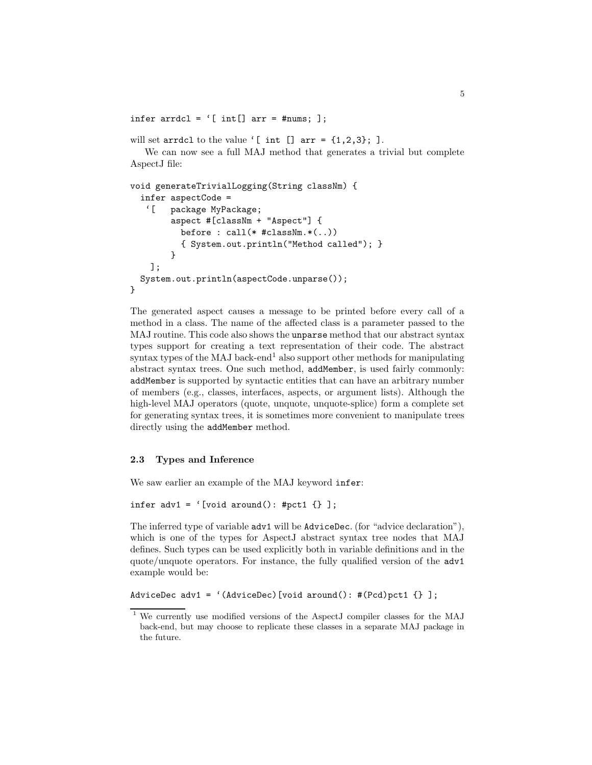infer arrdcl =  $'[int[] arr = #nums; ];$ 

will set arrdcl to the value '[ int [] arr =  $\{1,2,3\}$ ; ].

We can now see a full MAJ method that generates a trivial but complete AspectJ file:

```
void generateTrivialLogging(String classNm) {
  infer aspectCode =
   '[ package MyPackage;
        aspect #[classNm + "Aspect"] {
         before : call(* #classNm.*(..))
          { System.out.println("Method called"); }
        }
    ];
 System.out.println(aspectCode.unparse());
}
```
The generated aspect causes a message to be printed before every call of a method in a class. The name of the affected class is a parameter passed to the MAJ routine. This code also shows the unparse method that our abstract syntax types support for creating a text representation of their code. The abstract syntax types of the MAJ back-end<sup>1</sup> also support other methods for manipulating abstract syntax trees. One such method, addMember, is used fairly commonly: addMember is supported by syntactic entities that can have an arbitrary number of members (e.g., classes, interfaces, aspects, or argument lists). Although the high-level MAJ operators (quote, unquote, unquote-splice) form a complete set for generating syntax trees, it is sometimes more convenient to manipulate trees directly using the addMember method.

### 2.3 Types and Inference

We saw earlier an example of the MAJ keyword infer:

infer adv1 =  $'(void around(): #pet1 { }$ ;

The inferred type of variable  $adv1$  will be AdviceDec. (for "advice declaration"), which is one of the types for AspectJ abstract syntax tree nodes that MAJ defines. Such types can be used explicitly both in variable definitions and in the quote/unquote operators. For instance, the fully qualified version of the adv1 example would be:

```
AdviceDec adv1 = '(AdviceDec)[void around(): #(Pcd)pct1 {} ];
```
<sup>1</sup> We currently use modified versions of the AspectJ compiler classes for the MAJ back-end, but may choose to replicate these classes in a separate MAJ package in the future.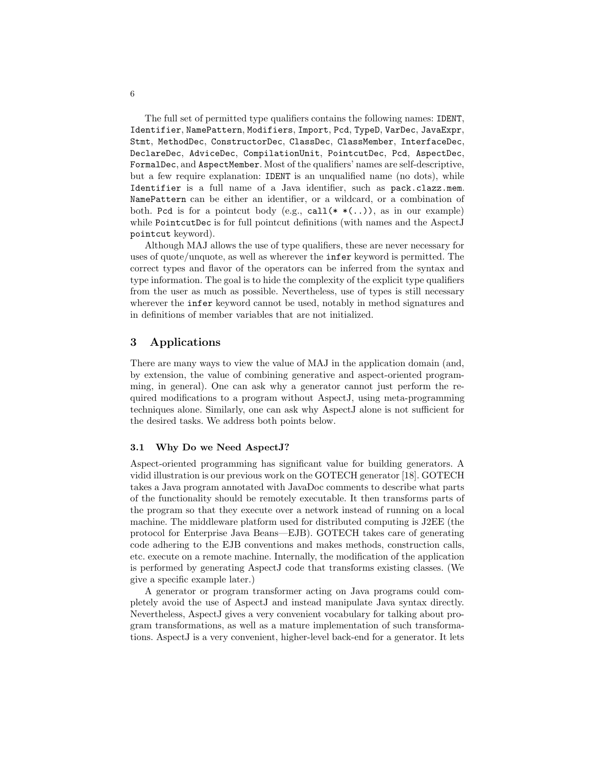The full set of permitted type qualifiers contains the following names: IDENT, Identifier, NamePattern, Modifiers, Import, Pcd, TypeD, VarDec, JavaExpr, Stmt, MethodDec, ConstructorDec, ClassDec, ClassMember, InterfaceDec, DeclareDec, AdviceDec, CompilationUnit, PointcutDec, Pcd, AspectDec, FormalDec, and AspectMember. Most of the qualifiers' names are self-descriptive, but a few require explanation: IDENT is an unqualified name (no dots), while Identifier is a full name of a Java identifier, such as pack.clazz.mem. NamePattern can be either an identifier, or a wildcard, or a combination of both. Pcd is for a pointcut body (e.g., call  $(**(...)$ ), as in our example) while PointcutDec is for full pointcut definitions (with names and the AspectJ pointcut keyword).

Although MAJ allows the use of type qualifiers, these are never necessary for uses of quote/unquote, as well as wherever the infer keyword is permitted. The correct types and flavor of the operators can be inferred from the syntax and type information. The goal is to hide the complexity of the explicit type qualifiers from the user as much as possible. Nevertheless, use of types is still necessary wherever the **infer** keyword cannot be used, notably in method signatures and in definitions of member variables that are not initialized.

# 3 Applications

There are many ways to view the value of MAJ in the application domain (and, by extension, the value of combining generative and aspect-oriented programming, in general). One can ask why a generator cannot just perform the required modifications to a program without AspectJ, using meta-programming techniques alone. Similarly, one can ask why AspectJ alone is not sufficient for the desired tasks. We address both points below.

### 3.1 Why Do we Need AspectJ?

Aspect-oriented programming has significant value for building generators. A vidid illustration is our previous work on the GOTECH generator [18]. GOTECH takes a Java program annotated with JavaDoc comments to describe what parts of the functionality should be remotely executable. It then transforms parts of the program so that they execute over a network instead of running on a local machine. The middleware platform used for distributed computing is J2EE (the protocol for Enterprise Java Beans—EJB). GOTECH takes care of generating code adhering to the EJB conventions and makes methods, construction calls, etc. execute on a remote machine. Internally, the modification of the application is performed by generating AspectJ code that transforms existing classes. (We give a specific example later.)

A generator or program transformer acting on Java programs could completely avoid the use of AspectJ and instead manipulate Java syntax directly. Nevertheless, AspectJ gives a very convenient vocabulary for talking about program transformations, as well as a mature implementation of such transformations. AspectJ is a very convenient, higher-level back-end for a generator. It lets

6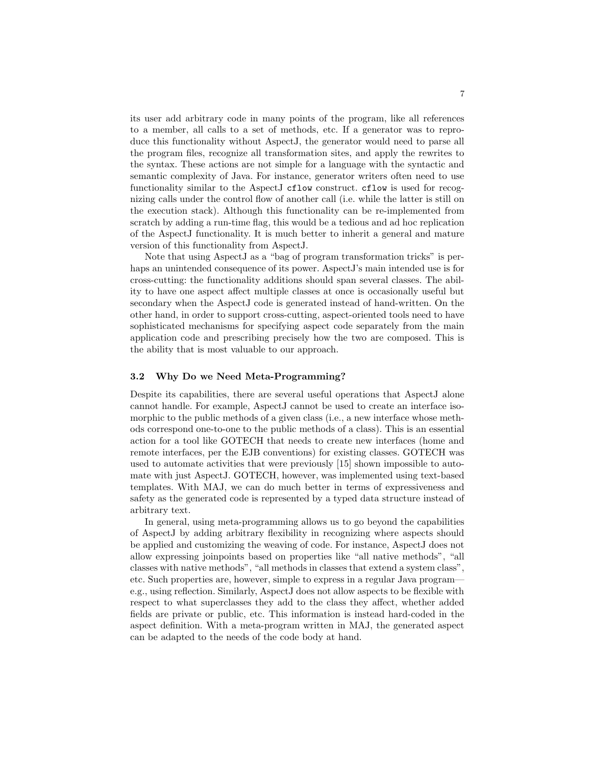its user add arbitrary code in many points of the program, like all references to a member, all calls to a set of methods, etc. If a generator was to reproduce this functionality without AspectJ, the generator would need to parse all the program files, recognize all transformation sites, and apply the rewrites to the syntax. These actions are not simple for a language with the syntactic and semantic complexity of Java. For instance, generator writers often need to use functionality similar to the AspectJ cflow construct. cflow is used for recognizing calls under the control flow of another call (i.e. while the latter is still on the execution stack). Although this functionality can be re-implemented from scratch by adding a run-time flag, this would be a tedious and ad hoc replication of the AspectJ functionality. It is much better to inherit a general and mature version of this functionality from AspectJ.

Note that using AspectJ as a "bag of program transformation tricks" is perhaps an unintended consequence of its power. AspectJ's main intended use is for cross-cutting: the functionality additions should span several classes. The ability to have one aspect affect multiple classes at once is occasionally useful but secondary when the AspectJ code is generated instead of hand-written. On the other hand, in order to support cross-cutting, aspect-oriented tools need to have sophisticated mechanisms for specifying aspect code separately from the main application code and prescribing precisely how the two are composed. This is the ability that is most valuable to our approach.

### 3.2 Why Do we Need Meta-Programming?

Despite its capabilities, there are several useful operations that AspectJ alone cannot handle. For example, AspectJ cannot be used to create an interface isomorphic to the public methods of a given class (i.e., a new interface whose methods correspond one-to-one to the public methods of a class). This is an essential action for a tool like GOTECH that needs to create new interfaces (home and remote interfaces, per the EJB conventions) for existing classes. GOTECH was used to automate activities that were previously [15] shown impossible to automate with just AspectJ. GOTECH, however, was implemented using text-based templates. With MAJ, we can do much better in terms of expressiveness and safety as the generated code is represented by a typed data structure instead of arbitrary text.

In general, using meta-programming allows us to go beyond the capabilities of AspectJ by adding arbitrary flexibility in recognizing where aspects should be applied and customizing the weaving of code. For instance, AspectJ does not allow expressing joinpoints based on properties like "all native methods", "all classes with native methods", "all methods in classes that extend a system class", etc. Such properties are, however, simple to express in a regular Java program e.g., using reflection. Similarly, AspectJ does not allow aspects to be flexible with respect to what superclasses they add to the class they affect, whether added fields are private or public, etc. This information is instead hard-coded in the aspect definition. With a meta-program written in MAJ, the generated aspect can be adapted to the needs of the code body at hand.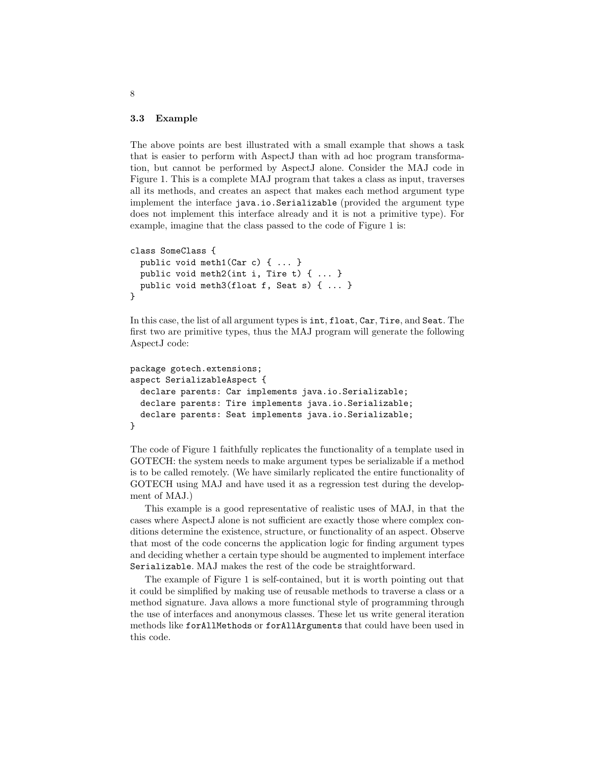#### 3.3 Example

The above points are best illustrated with a small example that shows a task that is easier to perform with AspectJ than with ad hoc program transformation, but cannot be performed by AspectJ alone. Consider the MAJ code in Figure 1. This is a complete MAJ program that takes a class as input, traverses all its methods, and creates an aspect that makes each method argument type implement the interface java.io.Serializable (provided the argument type does not implement this interface already and it is not a primitive type). For example, imagine that the class passed to the code of Figure 1 is:

```
class SomeClass {
  public void meth1(Car c) { ... }
 public void meth2(int i, Tire t) { ... }
 public void meth3(float f, Seat s) { ... }
}
```
In this case, the list of all argument types is int, float, Car, Tire, and Seat. The first two are primitive types, thus the MAJ program will generate the following AspectJ code:

```
package gotech.extensions;
aspect SerializableAspect {
  declare parents: Car implements java.io.Serializable;
  declare parents: Tire implements java.io.Serializable;
 declare parents: Seat implements java.io.Serializable;
}
```
The code of Figure 1 faithfully replicates the functionality of a template used in GOTECH: the system needs to make argument types be serializable if a method is to be called remotely. (We have similarly replicated the entire functionality of GOTECH using MAJ and have used it as a regression test during the development of MAJ.)

This example is a good representative of realistic uses of MAJ, in that the cases where AspectJ alone is not sufficient are exactly those where complex conditions determine the existence, structure, or functionality of an aspect. Observe that most of the code concerns the application logic for finding argument types and deciding whether a certain type should be augmented to implement interface Serializable. MAJ makes the rest of the code be straightforward.

The example of Figure 1 is self-contained, but it is worth pointing out that it could be simplified by making use of reusable methods to traverse a class or a method signature. Java allows a more functional style of programming through the use of interfaces and anonymous classes. These let us write general iteration methods like forAllMethods or forAllArguments that could have been used in this code.

8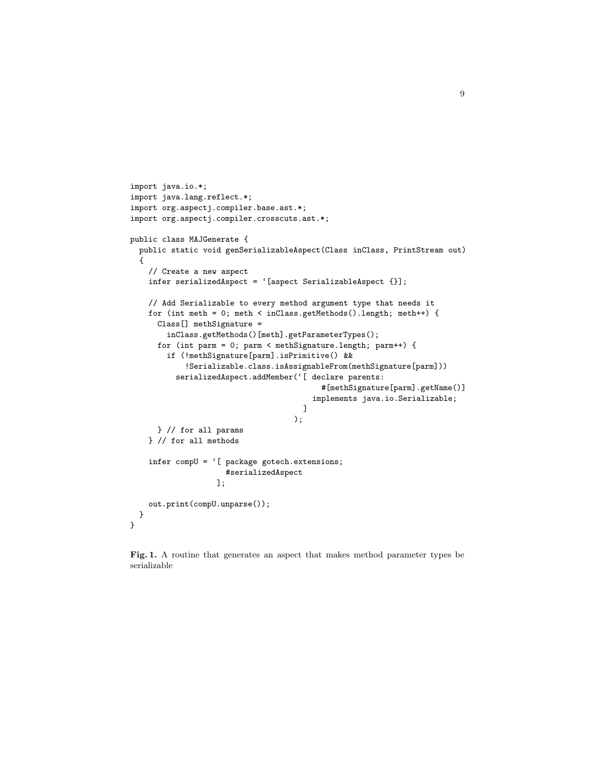```
import java.io.*;
import java.lang.reflect.*;
import org.aspectj.compiler.base.ast.*;
import org.aspectj.compiler.crosscuts.ast.*;
public class MAJGenerate {
 public static void genSerializableAspect(Class inClass, PrintStream out)
 {
   // Create a new aspect
    infer serializedAspect = '[aspect SerializableAspect {}];
    // Add Serializable to every method argument type that needs it
    for (int meth = 0; meth < inClass.getMethods().length; meth++) {
     Class[] methSignature =
       inClass.getMethods()[meth].getParameterTypes();
     for (int parm = 0; parm < methSignature.length; parm++) {
       if (!methSignature[parm].isPrimitive() &&
            !Serializable.class.isAssignableFrom(methSignature[parm]))
          serializedAspect.addMember('[ declare parents:
                                          #[methSignature[parm].getName()]
                                        implements java.io.Serializable;
                                      ]
                                    );
     } // for all params
    } // for all methods
    infer compU = '[ package gotech.extensions;
                     #serializedAspect
                   ];
    out.print(compU.unparse());
 }
}
```
Fig. 1. A routine that generates an aspect that makes method parameter types be serializable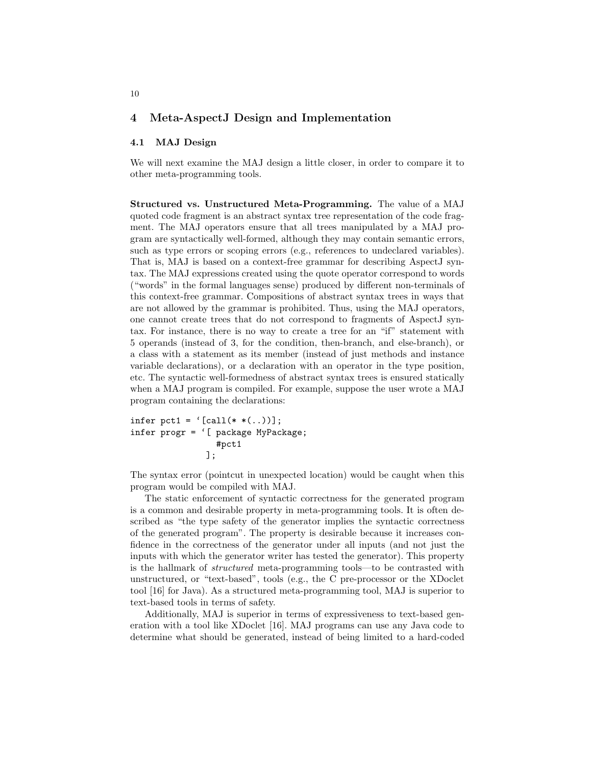## 4 Meta-AspectJ Design and Implementation

### 4.1 MAJ Design

We will next examine the MAJ design a little closer, in order to compare it to other meta-programming tools.

Structured vs. Unstructured Meta-Programming. The value of a MAJ quoted code fragment is an abstract syntax tree representation of the code fragment. The MAJ operators ensure that all trees manipulated by a MAJ program are syntactically well-formed, although they may contain semantic errors, such as type errors or scoping errors (e.g., references to undeclared variables). That is, MAJ is based on a context-free grammar for describing AspectJ syntax. The MAJ expressions created using the quote operator correspond to words ("words" in the formal languages sense) produced by different non-terminals of this context-free grammar. Compositions of abstract syntax trees in ways that are not allowed by the grammar is prohibited. Thus, using the MAJ operators, one cannot create trees that do not correspond to fragments of AspectJ syntax. For instance, there is no way to create a tree for an "if" statement with 5 operands (instead of 3, for the condition, then-branch, and else-branch), or a class with a statement as its member (instead of just methods and instance variable declarations), or a declaration with an operator in the type position, etc. The syntactic well-formedness of abstract syntax trees is ensured statically when a MAJ program is compiled. For example, suppose the user wrote a MAJ program containing the declarations:

```
infer pct1 = '[call(* *(..))];
infer progr = '[ package MyPackage;
                 #pct1
               ];
```
The syntax error (pointcut in unexpected location) would be caught when this program would be compiled with MAJ.

The static enforcement of syntactic correctness for the generated program is a common and desirable property in meta-programming tools. It is often described as "the type safety of the generator implies the syntactic correctness of the generated program". The property is desirable because it increases confidence in the correctness of the generator under all inputs (and not just the inputs with which the generator writer has tested the generator). This property is the hallmark of structured meta-programming tools—to be contrasted with unstructured, or "text-based", tools (e.g., the C pre-processor or the XDoclet tool [16] for Java). As a structured meta-programming tool, MAJ is superior to text-based tools in terms of safety.

Additionally, MAJ is superior in terms of expressiveness to text-based generation with a tool like XDoclet [16]. MAJ programs can use any Java code to determine what should be generated, instead of being limited to a hard-coded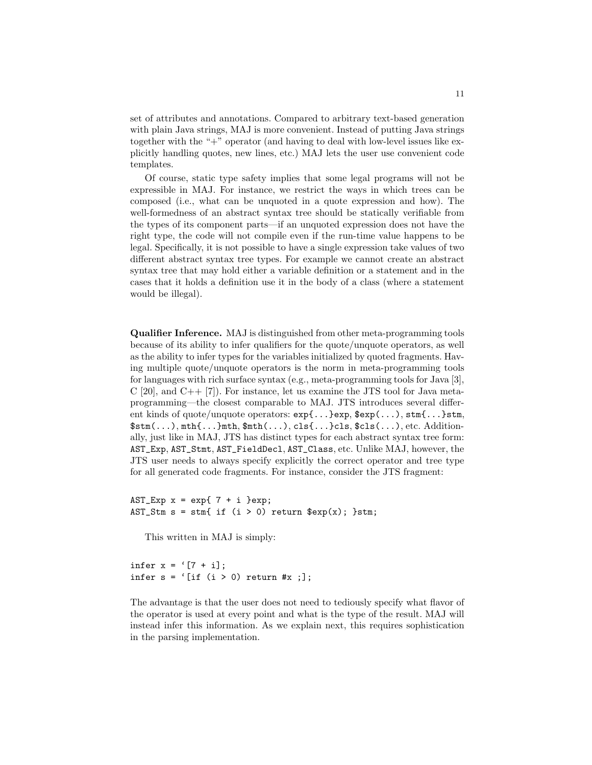set of attributes and annotations. Compared to arbitrary text-based generation with plain Java strings, MAJ is more convenient. Instead of putting Java strings together with the "+" operator (and having to deal with low-level issues like explicitly handling quotes, new lines, etc.) MAJ lets the user use convenient code templates.

Of course, static type safety implies that some legal programs will not be expressible in MAJ. For instance, we restrict the ways in which trees can be composed (i.e., what can be unquoted in a quote expression and how). The well-formedness of an abstract syntax tree should be statically verifiable from the types of its component parts—if an unquoted expression does not have the right type, the code will not compile even if the run-time value happens to be legal. Specifically, it is not possible to have a single expression take values of two different abstract syntax tree types. For example we cannot create an abstract syntax tree that may hold either a variable definition or a statement and in the cases that it holds a definition use it in the body of a class (where a statement would be illegal).

Qualifier Inference. MAJ is distinguished from other meta-programming tools because of its ability to infer qualifiers for the quote/unquote operators, as well as the ability to infer types for the variables initialized by quoted fragments. Having multiple quote/unquote operators is the norm in meta-programming tools for languages with rich surface syntax (e.g., meta-programming tools for Java [3],  $C$  [20], and  $C_{++}$  [7]). For instance, let us examine the JTS tool for Java metaprogramming—the closest comparable to MAJ. JTS introduces several different kinds of quote/unquote operators: exp{...}exp, \$exp(...), stm{...}stm,  $\text{stm}(\ldots), \text{mth}(\ldots)$  anth,  $\text{mth}(\ldots), \text{cls}(\ldots)$  cls,  $\text{cls}(\ldots), \text{etc.}$  Additionally, just like in MAJ, JTS has distinct types for each abstract syntax tree form: AST\_Exp, AST\_Stmt, AST\_FieldDecl, AST\_Class, etc. Unlike MAJ, however, the JTS user needs to always specify explicitly the correct operator and tree type for all generated code fragments. For instance, consider the JTS fragment:

```
AST_Exp x = exp{7 + i} }exp;
AST_Stm s = \text{stm} if (i > 0) return \text{Sexp}(x); \text{B} \text{stm};
```
This written in MAJ is simply:

 $\inf$ er  $x = ' [7 + i];$ infer  $s = '[if (i > 0) return #x ;]$ ;

The advantage is that the user does not need to tediously specify what flavor of the operator is used at every point and what is the type of the result. MAJ will instead infer this information. As we explain next, this requires sophistication in the parsing implementation.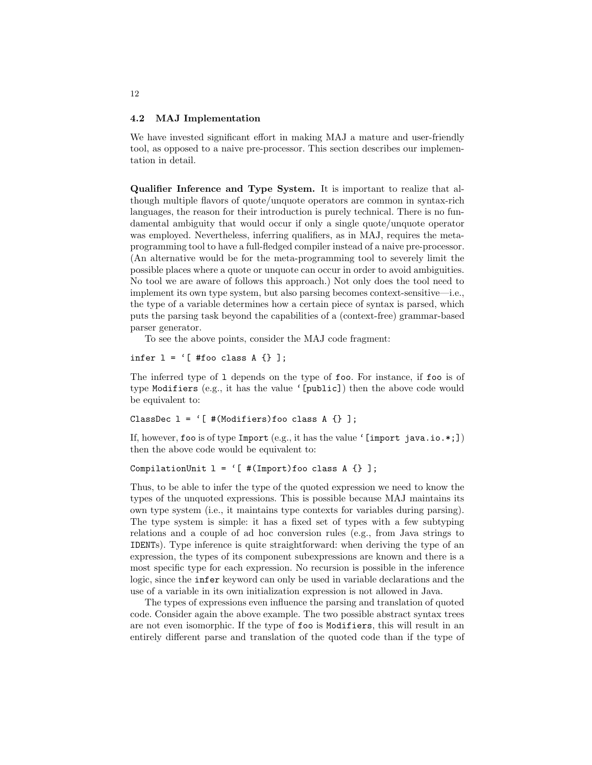### 4.2 MAJ Implementation

We have invested significant effort in making MAJ a mature and user-friendly tool, as opposed to a naive pre-processor. This section describes our implementation in detail.

Qualifier Inference and Type System. It is important to realize that although multiple flavors of quote/unquote operators are common in syntax-rich languages, the reason for their introduction is purely technical. There is no fundamental ambiguity that would occur if only a single quote/unquote operator was employed. Nevertheless, inferring qualifiers, as in MAJ, requires the metaprogramming tool to have a full-fledged compiler instead of a naive pre-processor. (An alternative would be for the meta-programming tool to severely limit the possible places where a quote or unquote can occur in order to avoid ambiguities. No tool we are aware of follows this approach.) Not only does the tool need to implement its own type system, but also parsing becomes context-sensitive—i.e., the type of a variable determines how a certain piece of syntax is parsed, which puts the parsing task beyond the capabilities of a (context-free) grammar-based parser generator.

To see the above points, consider the MAJ code fragment:

```
infer l = \{ \text{#foo class A } \}]:
```
The inferred type of l depends on the type of foo. For instance, if foo is of type Modifiers (e.g., it has the value '[public]) then the above code would be equivalent to:

```
ClassDec l = \{ [ # (Modifiers) \, \text{foo class A } \} \};
```
If, however, foo is of type Import (e.g., it has the value '[import java.io. $\ast$ ;]) then the above code would be equivalent to:

```
CompilationUnit l = ' [ #(Import)foo class A {} ];
```
Thus, to be able to infer the type of the quoted expression we need to know the types of the unquoted expressions. This is possible because MAJ maintains its own type system (i.e., it maintains type contexts for variables during parsing). The type system is simple: it has a fixed set of types with a few subtyping relations and a couple of ad hoc conversion rules (e.g., from Java strings to IDENTs). Type inference is quite straightforward: when deriving the type of an expression, the types of its component subexpressions are known and there is a most specific type for each expression. No recursion is possible in the inference logic, since the infer keyword can only be used in variable declarations and the use of a variable in its own initialization expression is not allowed in Java.

The types of expressions even influence the parsing and translation of quoted code. Consider again the above example. The two possible abstract syntax trees are not even isomorphic. If the type of foo is Modifiers, this will result in an entirely different parse and translation of the quoted code than if the type of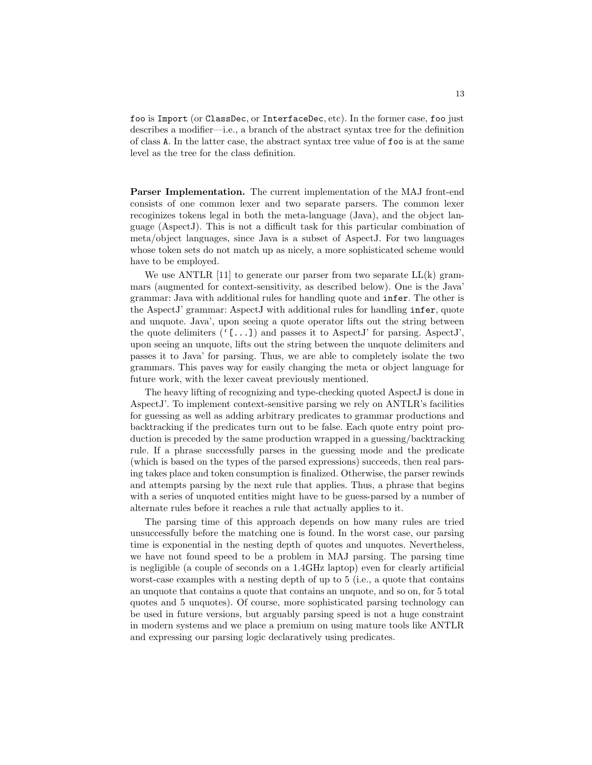foo is Import (or ClassDec, or InterfaceDec, etc). In the former case, foo just describes a modifier—i.e., a branch of the abstract syntax tree for the definition of class A. In the latter case, the abstract syntax tree value of foo is at the same level as the tree for the class definition.

Parser Implementation. The current implementation of the MAJ front-end consists of one common lexer and two separate parsers. The common lexer recoginizes tokens legal in both the meta-language (Java), and the object language (AspectJ). This is not a difficult task for this particular combination of meta/object languages, since Java is a subset of AspectJ. For two languages whose token sets do not match up as nicely, a more sophisticated scheme would have to be employed.

We use ANTLR  $[11]$  to generate our parser from two separate  $LL(k)$  grammars (augmented for context-sensitivity, as described below). One is the Java' grammar: Java with additional rules for handling quote and infer. The other is the AspectJ' grammar: AspectJ with additional rules for handling infer, quote and unquote. Java', upon seeing a quote operator lifts out the string between the quote delimiters  $({\text{`}}[...])$  and passes it to AspectJ' for parsing. AspectJ', upon seeing an unquote, lifts out the string between the unquote delimiters and passes it to Java' for parsing. Thus, we are able to completely isolate the two grammars. This paves way for easily changing the meta or object language for future work, with the lexer caveat previously mentioned.

The heavy lifting of recognizing and type-checking quoted AspectJ is done in AspectJ'. To implement context-sensitive parsing we rely on ANTLR's facilities for guessing as well as adding arbitrary predicates to grammar productions and backtracking if the predicates turn out to be false. Each quote entry point production is preceded by the same production wrapped in a guessing/backtracking rule. If a phrase successfully parses in the guessing mode and the predicate (which is based on the types of the parsed expressions) succeeds, then real parsing takes place and token consumption is finalized. Otherwise, the parser rewinds and attempts parsing by the next rule that applies. Thus, a phrase that begins with a series of unquoted entities might have to be guess-parsed by a number of alternate rules before it reaches a rule that actually applies to it.

The parsing time of this approach depends on how many rules are tried unsuccessfully before the matching one is found. In the worst case, our parsing time is exponential in the nesting depth of quotes and unquotes. Nevertheless, we have not found speed to be a problem in MAJ parsing. The parsing time is negligible (a couple of seconds on a 1.4GHz laptop) even for clearly artificial worst-case examples with a nesting depth of up to 5 (i.e., a quote that contains an unquote that contains a quote that contains an unquote, and so on, for 5 total quotes and 5 unquotes). Of course, more sophisticated parsing technology can be used in future versions, but arguably parsing speed is not a huge constraint in modern systems and we place a premium on using mature tools like ANTLR and expressing our parsing logic declaratively using predicates.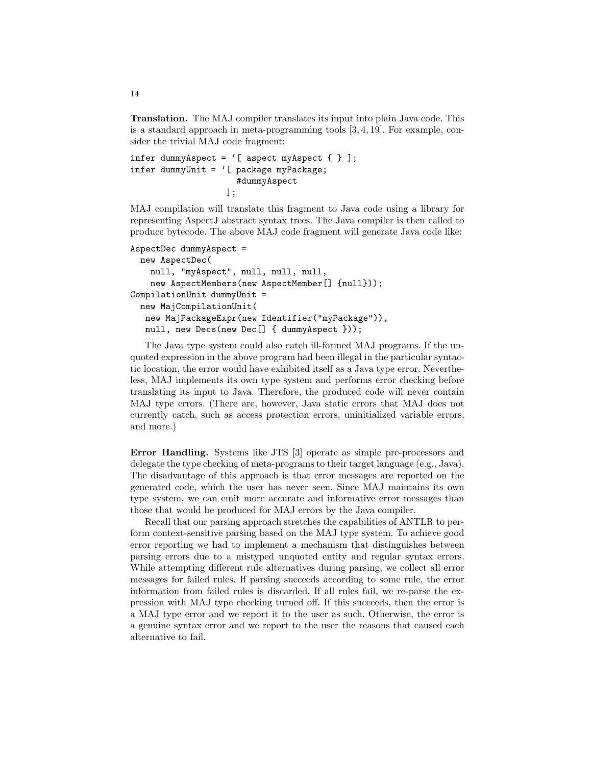Translation. The MAJ compiler translates its input into plain Java code. This is a standard approach in meta-programming tools [3, 4, 19]. For example, consider the trivial MAJ code fragment:

```
infer dummyAspect = \lceil aspect myAspect \lceil \rceil ];
infer dummyUnit = '[ package myPackage;
                        #dummyAspect
                     ];
```
MAJ compilation will translate this fragment to Java code using a library for representing AspectJ abstract syntax trees. The Java compiler is then called to produce bytecode. The above MAJ code fragment will generate Java code like:

```
AspectDec dummyAspect =
 new AspectDec(
   null, "myAspect", null, null, null,
   new AspectMembers(new AspectMember[] {null}));
CompilationUnit dummyUnit =
  new MajCompilationUnit(
  new MajPackageExpr(new Identifier("myPackage")),
  null, new Decs(new Dec[] { dummyAspect }));
```
The Java type system could also catch ill-formed MAJ programs. If the unquoted expression in the above program had been illegal in the particular syntactic location, the error would have exhibited itself as a Java type error. Nevertheless, MAJ implements its own type system and performs error checking before translating its input to Java. Therefore, the produced code will never contain MAJ type errors. (There are, however, Java static errors that MAJ does not currently catch, such as access protection errors, uninitialized variable errors, and more.)

Error Handling. Systems like JTS [3] operate as simple pre-processors and delegate the type checking of meta-programs to their target language (e.g., Java). The disadvantage of this approach is that error messages are reported on the generated code, which the user has never seen. Since MAJ maintains its own type system, we can emit more accurate and informative error messages than those that would be produced for MAJ errors by the Java compiler.

Recall that our parsing approach stretches the capabilities of ANTLR to perform context-sensitive parsing based on the MAJ type system. To achieve good error reporting we had to implement a mechanism that distinguishes between parsing errors due to a mistyped unquoted entity and regular syntax errors. While attempting different rule alternatives during parsing, we collect all error messages for failed rules. If parsing succeeds according to some rule, the error information from failed rules is discarded. If all rules fail, we re-parse the expression with MAJ type checking turned off. If this succeeds, then the error is a MAJ type error and we report it to the user as such. Otherwise, the error is a genuine syntax error and we report to the user the reasons that caused each alternative to fail.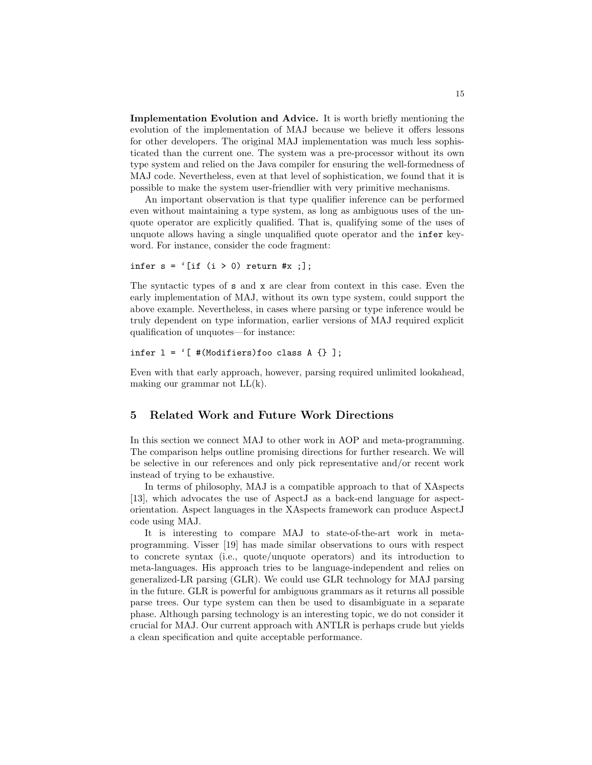Implementation Evolution and Advice. It is worth briefly mentioning the evolution of the implementation of MAJ because we believe it offers lessons for other developers. The original MAJ implementation was much less sophisticated than the current one. The system was a pre-processor without its own type system and relied on the Java compiler for ensuring the well-formedness of MAJ code. Nevertheless, even at that level of sophistication, we found that it is possible to make the system user-friendlier with very primitive mechanisms.

An important observation is that type qualifier inference can be performed even without maintaining a type system, as long as ambiguous uses of the unquote operator are explicitly qualified. That is, qualifying some of the uses of unquote allows having a single unqualified quote operator and the infer keyword. For instance, consider the code fragment:

```
infer s = '[if (i > 0) return #x ;];
```
The syntactic types of s and x are clear from context in this case. Even the early implementation of MAJ, without its own type system, could support the above example. Nevertheless, in cases where parsing or type inference would be truly dependent on type information, earlier versions of MAJ required explicit qualification of unquotes—for instance:

```
infer l = ' [ #(Modifiers) foo class A {} ];
```
Even with that early approach, however, parsing required unlimited lookahead, making our grammar not  $LL(k)$ .

### 5 Related Work and Future Work Directions

In this section we connect MAJ to other work in AOP and meta-programming. The comparison helps outline promising directions for further research. We will be selective in our references and only pick representative and/or recent work instead of trying to be exhaustive.

In terms of philosophy, MAJ is a compatible approach to that of XAspects [13], which advocates the use of AspectJ as a back-end language for aspectorientation. Aspect languages in the XAspects framework can produce AspectJ code using MAJ.

It is interesting to compare MAJ to state-of-the-art work in metaprogramming. Visser [19] has made similar observations to ours with respect to concrete syntax (i.e., quote/unquote operators) and its introduction to meta-languages. His approach tries to be language-independent and relies on generalized-LR parsing (GLR). We could use GLR technology for MAJ parsing in the future. GLR is powerful for ambiguous grammars as it returns all possible parse trees. Our type system can then be used to disambiguate in a separate phase. Although parsing technology is an interesting topic, we do not consider it crucial for MAJ. Our current approach with ANTLR is perhaps crude but yields a clean specification and quite acceptable performance.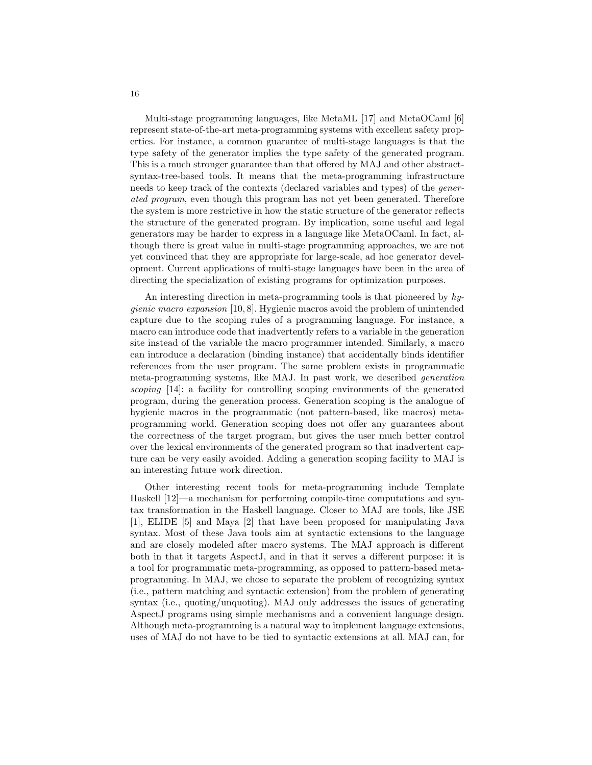Multi-stage programming languages, like MetaML [17] and MetaOCaml [6] represent state-of-the-art meta-programming systems with excellent safety properties. For instance, a common guarantee of multi-stage languages is that the type safety of the generator implies the type safety of the generated program. This is a much stronger guarantee than that offered by MAJ and other abstractsyntax-tree-based tools. It means that the meta-programming infrastructure needs to keep track of the contexts (declared variables and types) of the generated program, even though this program has not yet been generated. Therefore the system is more restrictive in how the static structure of the generator reflects the structure of the generated program. By implication, some useful and legal generators may be harder to express in a language like MetaOCaml. In fact, although there is great value in multi-stage programming approaches, we are not yet convinced that they are appropriate for large-scale, ad hoc generator development. Current applications of multi-stage languages have been in the area of directing the specialization of existing programs for optimization purposes.

An interesting direction in meta-programming tools is that pioneered by hygienic macro expansion [10, 8]. Hygienic macros avoid the problem of unintended capture due to the scoping rules of a programming language. For instance, a macro can introduce code that inadvertently refers to a variable in the generation site instead of the variable the macro programmer intended. Similarly, a macro can introduce a declaration (binding instance) that accidentally binds identifier references from the user program. The same problem exists in programmatic meta-programming systems, like MAJ. In past work, we described generation scoping [14]: a facility for controlling scoping environments of the generated program, during the generation process. Generation scoping is the analogue of hygienic macros in the programmatic (not pattern-based, like macros) metaprogramming world. Generation scoping does not offer any guarantees about the correctness of the target program, but gives the user much better control over the lexical environments of the generated program so that inadvertent capture can be very easily avoided. Adding a generation scoping facility to MAJ is an interesting future work direction.

Other interesting recent tools for meta-programming include Template Haskell [12]—a mechanism for performing compile-time computations and syntax transformation in the Haskell language. Closer to MAJ are tools, like JSE [1], ELIDE [5] and Maya [2] that have been proposed for manipulating Java syntax. Most of these Java tools aim at syntactic extensions to the language and are closely modeled after macro systems. The MAJ approach is different both in that it targets AspectJ, and in that it serves a different purpose: it is a tool for programmatic meta-programming, as opposed to pattern-based metaprogramming. In MAJ, we chose to separate the problem of recognizing syntax (i.e., pattern matching and syntactic extension) from the problem of generating syntax (i.e., quoting/unquoting). MAJ only addresses the issues of generating AspectJ programs using simple mechanisms and a convenient language design. Although meta-programming is a natural way to implement language extensions, uses of MAJ do not have to be tied to syntactic extensions at all. MAJ can, for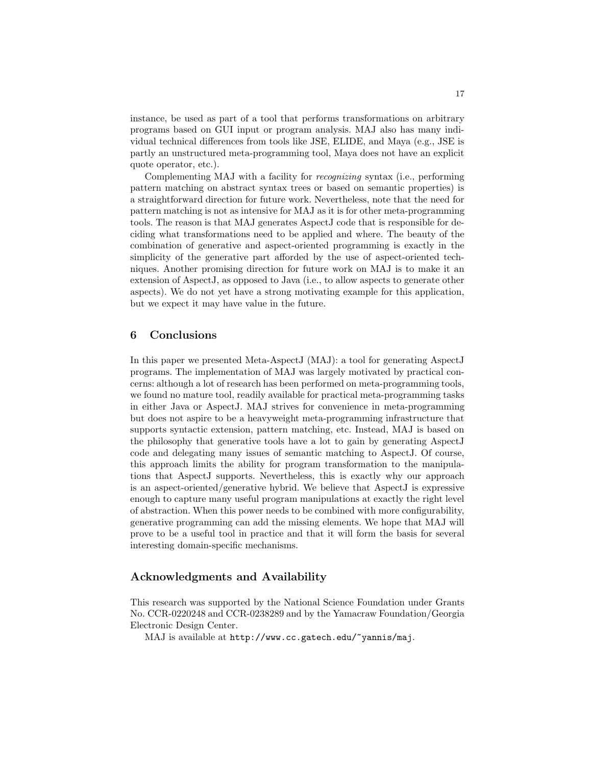instance, be used as part of a tool that performs transformations on arbitrary programs based on GUI input or program analysis. MAJ also has many individual technical differences from tools like JSE, ELIDE, and Maya (e.g., JSE is partly an unstructured meta-programming tool, Maya does not have an explicit quote operator, etc.).

Complementing MAJ with a facility for recognizing syntax (i.e., performing pattern matching on abstract syntax trees or based on semantic properties) is a straightforward direction for future work. Nevertheless, note that the need for pattern matching is not as intensive for MAJ as it is for other meta-programming tools. The reason is that MAJ generates AspectJ code that is responsible for deciding what transformations need to be applied and where. The beauty of the combination of generative and aspect-oriented programming is exactly in the simplicity of the generative part afforded by the use of aspect-oriented techniques. Another promising direction for future work on MAJ is to make it an extension of AspectJ, as opposed to Java (i.e., to allow aspects to generate other aspects). We do not yet have a strong motivating example for this application, but we expect it may have value in the future.

# 6 Conclusions

In this paper we presented Meta-AspectJ (MAJ): a tool for generating AspectJ programs. The implementation of MAJ was largely motivated by practical concerns: although a lot of research has been performed on meta-programming tools, we found no mature tool, readily available for practical meta-programming tasks in either Java or AspectJ. MAJ strives for convenience in meta-programming but does not aspire to be a heavyweight meta-programming infrastructure that supports syntactic extension, pattern matching, etc. Instead, MAJ is based on the philosophy that generative tools have a lot to gain by generating AspectJ code and delegating many issues of semantic matching to AspectJ. Of course, this approach limits the ability for program transformation to the manipulations that AspectJ supports. Nevertheless, this is exactly why our approach is an aspect-oriented/generative hybrid. We believe that AspectJ is expressive enough to capture many useful program manipulations at exactly the right level of abstraction. When this power needs to be combined with more configurability, generative programming can add the missing elements. We hope that MAJ will prove to be a useful tool in practice and that it will form the basis for several interesting domain-specific mechanisms.

# Acknowledgments and Availability

This research was supported by the National Science Foundation under Grants No. CCR-0220248 and CCR-0238289 and by the Yamacraw Foundation/Georgia Electronic Design Center.

MAJ is available at http://www.cc.gatech.edu/~yannis/maj.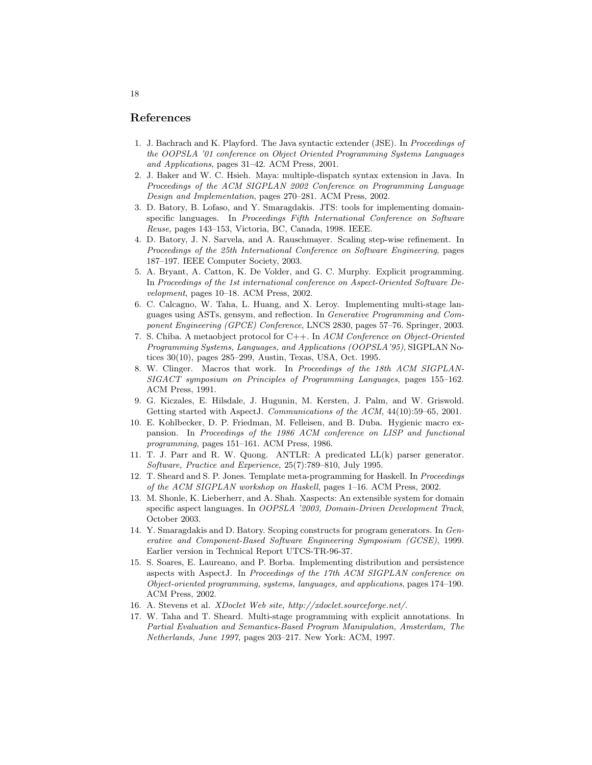# References

- 1. J. Bachrach and K. Playford. The Java syntactic extender (JSE). In Proceedings of the OOPSLA '01 conference on Object Oriented Programming Systems Languages and Applications, pages 31–42. ACM Press, 2001.
- 2. J. Baker and W. C. Hsieh. Maya: multiple-dispatch syntax extension in Java. In Proceedings of the ACM SIGPLAN 2002 Conference on Programming Language Design and Implementation, pages 270–281. ACM Press, 2002.
- 3. D. Batory, B. Lofaso, and Y. Smaragdakis. JTS: tools for implementing domainspecific languages. In Proceedings Fifth International Conference on Software Reuse, pages 143–153, Victoria, BC, Canada, 1998. IEEE.
- 4. D. Batory, J. N. Sarvela, and A. Rauschmayer. Scaling step-wise refinement. In Proceedings of the 25th International Conference on Software Engineering, pages 187–197. IEEE Computer Society, 2003.
- 5. A. Bryant, A. Catton, K. De Volder, and G. C. Murphy. Explicit programming. In Proceedings of the 1st international conference on Aspect-Oriented Software Development, pages 10–18. ACM Press, 2002.
- 6. C. Calcagno, W. Taha, L. Huang, and X. Leroy. Implementing multi-stage languages using ASTs, gensym, and reflection. In Generative Programming and Component Engineering (GPCE) Conference, LNCS 2830, pages 57–76. Springer, 2003.
- 7. S. Chiba. A metaobject protocol for C++. In ACM Conference on Object-Oriented Programming Systems, Languages, and Applications (OOPSLA'95), SIGPLAN Notices 30(10), pages 285–299, Austin, Texas, USA, Oct. 1995.
- 8. W. Clinger. Macros that work. In Proceedings of the 18th ACM SIGPLAN-SIGACT symposium on Principles of Programming Languages, pages 155–162. ACM Press, 1991.
- 9. G. Kiczales, E. Hilsdale, J. Hugunin, M. Kersten, J. Palm, and W. Griswold. Getting started with AspectJ. Communications of the ACM, 44(10):59–65, 2001.
- 10. E. Kohlbecker, D. P. Friedman, M. Felleisen, and B. Duba. Hygienic macro expansion. In Proceedings of the 1986 ACM conference on LISP and functional programming, pages 151–161. ACM Press, 1986.
- 11. T. J. Parr and R. W. Quong. ANTLR: A predicated LL(k) parser generator. Software, Practice and Experience, 25(7):789–810, July 1995.
- 12. T. Sheard and S. P. Jones. Template meta-programming for Haskell. In Proceedings of the ACM SIGPLAN workshop on Haskell, pages 1–16. ACM Press, 2002.
- 13. M. Shonle, K. Lieberherr, and A. Shah. Xaspects: An extensible system for domain specific aspect languages. In OOPSLA '2003, Domain-Driven Development Track, October 2003.
- 14. Y. Smaragdakis and D. Batory. Scoping constructs for program generators. In Generative and Component-Based Software Engineering Symposium (GCSE), 1999. Earlier version in Technical Report UTCS-TR-96-37.
- 15. S. Soares, E. Laureano, and P. Borba. Implementing distribution and persistence aspects with AspectJ. In Proceedings of the 17th ACM SIGPLAN conference on Object-oriented programming, systems, languages, and applications, pages 174–190. ACM Press, 2002.
- 16. A. Stevens et al. XDoclet Web site, http://xdoclet.sourceforge.net/.
- 17. W. Taha and T. Sheard. Multi-stage programming with explicit annotations. In Partial Evaluation and Semantics-Based Program Manipulation, Amsterdam, The Netherlands, June 1997, pages 203–217. New York: ACM, 1997.

#### 18